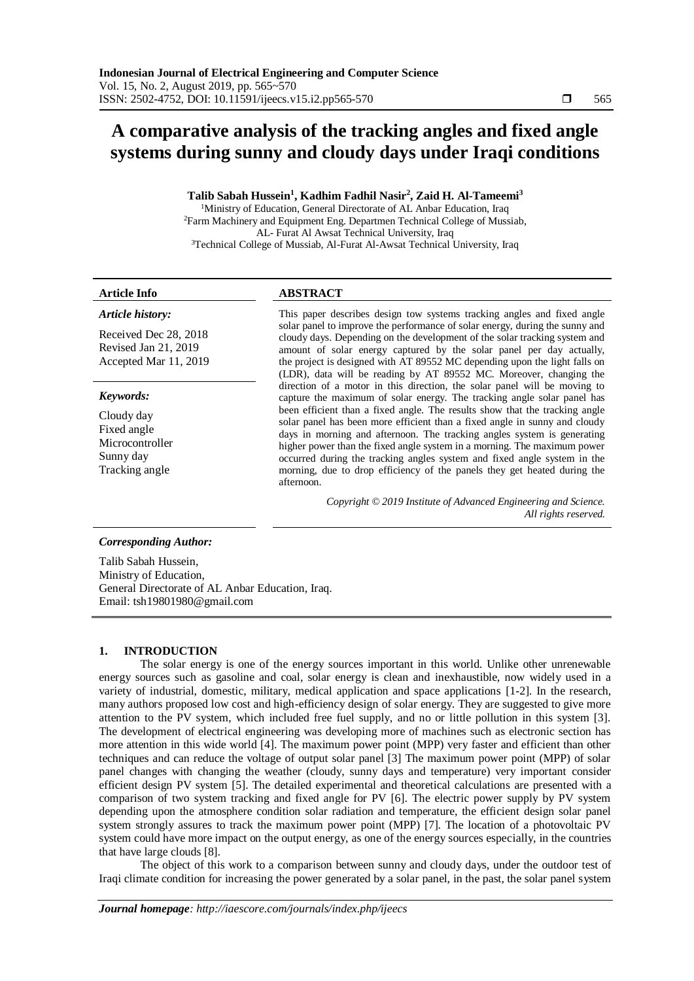# **A comparative analysis of the tracking angles and fixed angle systems during sunny and cloudy days under Iraqi conditions**

# **Talib Sabah Hussein<sup>1</sup> , Kadhim Fadhil Nasir<sup>2</sup> , Zaid H. Al-Tameemi<sup>3</sup>**

<sup>1</sup>Ministry of Education, General Directorate of AL Anbar Education, Iraq <sup>2</sup>Farm Machinery and Equipment Eng. Departmen Technical College of Mussiab, AL- Furat Al Awsat Technical University, Iraq <sup>3</sup>Technical College of Mussiab, Al-Furat Al-Awsat Technical University, Iraq

# *Article history:*

Received Dec 28, 2018 Revised Jan 21, 2019 Accepted Mar 11, 2019

### *Keywords:*

Cloudy day Fixed angle Microcontroller Sunny day Tracking angle

# **Article Info ABSTRACT**

This paper describes design tow systems tracking angles and fixed angle solar panel to improve the performance of solar energy, during the sunny and cloudy days. Depending on the development of the solar tracking system and amount of solar energy captured by the solar panel per day actually, the project is designed with AT 89552 MC depending upon the light falls on (LDR), data will be reading by AT 89552 MC. Moreover, changing the direction of a motor in this direction, the solar panel will be moving to capture the maximum of solar energy. The tracking angle solar panel has been efficient than a fixed angle. The results show that the tracking angle solar panel has been more efficient than a fixed angle in sunny and cloudy days in morning and afternoon. The tracking angles system is generating higher power than the fixed angle system in a morning. The maximum power occurred during the tracking angles system and fixed angle system in the morning, due to drop efficiency of the panels they get heated during the afternoon.

> *Copyright © 2019 Institute of Advanced Engineering and Science. All rights reserved.*

### *Corresponding Author:*

Talib Sabah Hussein, Ministry of Education, General Directorate of AL Anbar Education, Iraq. Email: tsh19801980@gmail.com

# **1. INTRODUCTION**

The solar energy is one of the energy sources important in this world. Unlike other unrenewable energy sources such as gasoline and coal, solar energy is clean and inexhaustible, now widely used in a variety of industrial, domestic, military, medical application and space applications [1-2]. In the research, many authors proposed low cost and high-efficiency design of solar energy. They are suggested to give more attention to the PV system, which included free fuel supply, and no or little pollution in this system [3]. The development of electrical engineering was developing more of machines such as electronic section has more attention in this wide world [4]. The maximum power point (MPP) very faster and efficient than other techniques and can reduce the voltage of output solar panel [3] The maximum power point (MPP) of solar panel changes with changing the weather (cloudy, sunny days and temperature) very important consider efficient design PV system [5]. The detailed experimental and theoretical calculations are presented with a comparison of two system tracking and fixed angle for PV [6]. The electric power supply by PV system depending upon the atmosphere condition solar radiation and temperature, the efficient design solar panel system strongly assures to track the maximum power point (MPP) [7]. The location of a photovoltaic PV system could have more impact on the output energy, as one of the energy sources especially, in the countries that have large clouds [8].

The object of this work to a comparison between sunny and cloudy days, under the outdoor test of Iraqi climate condition for increasing the power generated by a solar panel, in the past, the solar panel system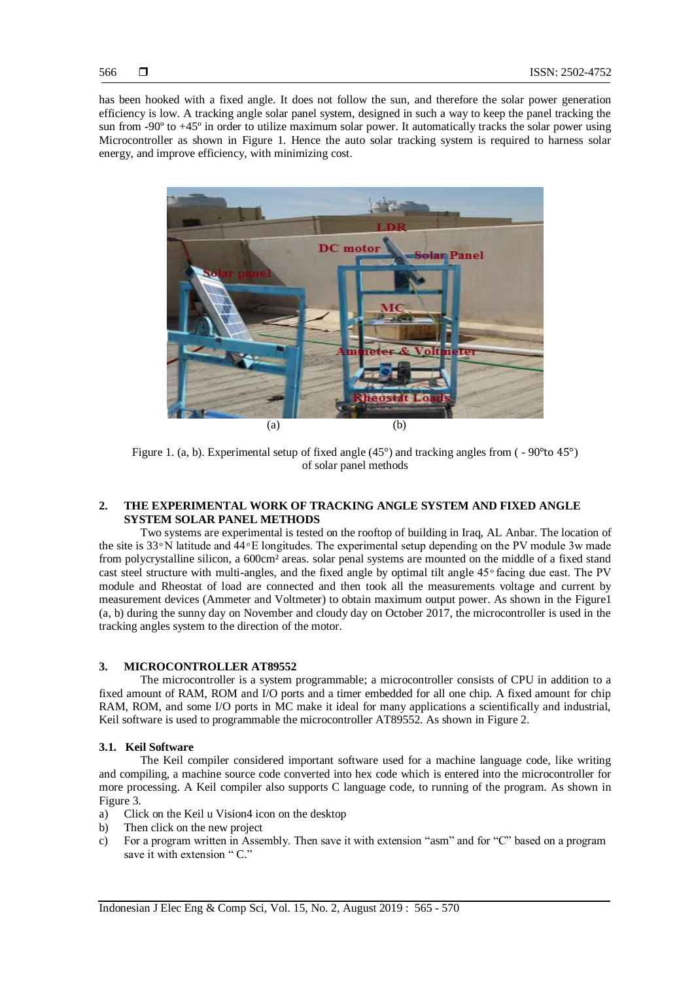has been hooked with a fixed angle. It does not follow the sun, and therefore the solar power generation efficiency is low. A tracking angle solar panel system, designed in such a way to keep the panel tracking the sun from -90<sup>o</sup> to +45<sup>o</sup> in order to utilize maximum solar power. It automatically tracks the solar power using Microcontroller as shown in Figure 1. Hence the auto solar tracking system is required to harness solar energy, and improve efficiency, with minimizing cost.



Figure 1. (a, b). Experimental setup of fixed angle (45°) and tracking angles from ( - 90°to 45°) of solar panel methods

# **2. THE EXPERIMENTAL WORK OF TRACKING ANGLE SYSTEM AND FIXED ANGLE SYSTEM SOLAR PANEL METHODS**

Two systems are experimental is tested on the rooftop of building in Iraq, AL Anbar. The location of the site is  $33^\circ$  N latitude and  $44^\circ$  E longitudes. The experimental setup depending on the PV module 3w made from polycrystalline silicon, a 600cm² areas. solar penal systems are mounted on the middle of a fixed stand cast steel structure with multi-angles, and the fixed angle by optimal tilt angle 45<sup>°</sup> facing due east. The PV module and Rheostat of load are connected and then took all the measurements voltage and current by measurement devices (Ammeter and Voltmeter) to obtain maximum output power. As shown in the Figure1 (a, b) during the sunny day on November and cloudy day on October 2017, the microcontroller is used in the tracking angles system to the direction of the motor.

### **3. MICROCONTROLLER AT89552**

The microcontroller is a system programmable; a microcontroller consists of CPU in addition to a fixed amount of RAM, ROM and I/O ports and a timer embedded for all one chip. A fixed amount for chip RAM, ROM, and some I/O ports in MC make it ideal for many applications a scientifically and industrial, Keil software is used to programmable the microcontroller AT89552. As shown in Figure 2.

#### **3.1. Keil Software**

The Keil compiler considered important software used for a machine language code, like writing and compiling, a machine source code converted into hex code which is entered into the microcontroller for more processing. A Keil compiler also supports C language code, to running of the program. As shown in Figure 3.

- a) Click on the Keil u Vision4 icon on the desktop
- b) Then click on the new project
- c) For a program written in Assembly. Then save it with extension "asm" and for "C" based on a program save it with extension "C."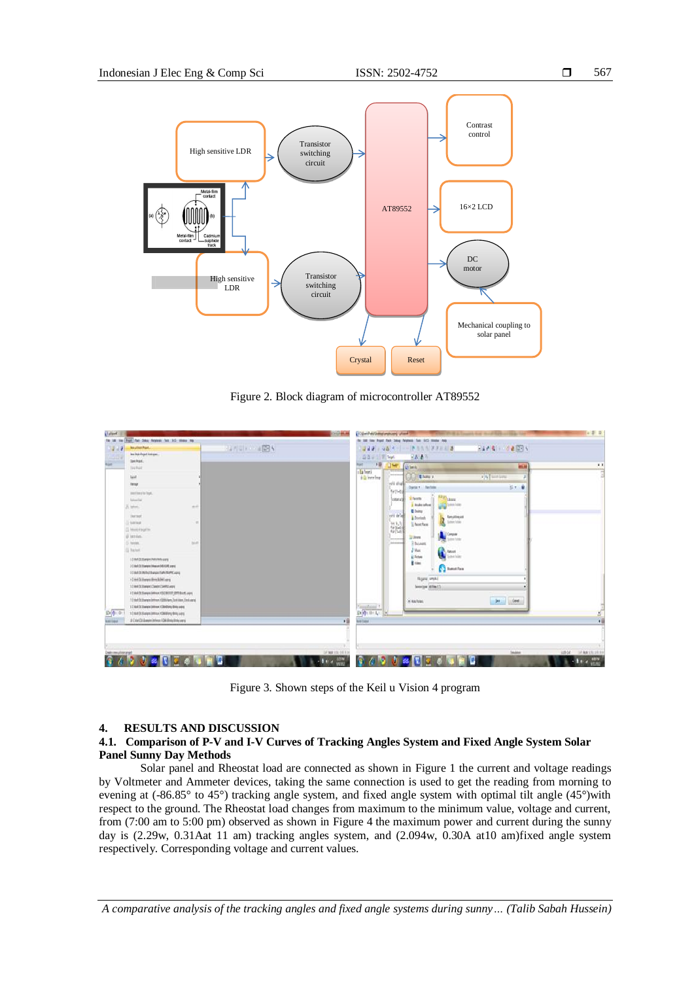

Figure 2. Block diagram of microcontroller AT89552

| 247 8 3 7 8 3 4                                                                                          |
|----------------------------------------------------------------------------------------------------------|
|                                                                                                          |
| GO 6 1 1 Part<br>日本 表示                                                                                   |
| +0<br>User.<br>$\bullet$ X<br>45.74<br>killerin.                                                         |
| <b>TITTLE</b><br><b>Jaiman</b>                                                                           |
| $v$ is a sections:<br>A Eleme v<br>both must                                                             |
| $1 - 0$<br>Domin + Newfolk                                                                               |
| furthers.<br><b>R</b> Ference                                                                            |
| Library.<br>Lodata SA<br><b>Wallen</b> Low Force<br>Midro Mirec                                          |
| <b>E</b> Deima                                                                                           |
| seld drive<br>fanyilinger<br>A Dominah<br><b>Lose futur</b>                                              |
| 蹦<br>IL Nonthea                                                                                          |
| <b>A</b>                                                                                                 |
| <b>Gilbert</b><br><b>SECONDER</b><br><b><i><u>Districted</u></i></b><br><b>Busess</b>                    |
| $J$ Musc<br>Q<br>News                                                                                    |
| cited Fulder<br><b>El Telseo</b><br><b>B</b> times                                                       |
| <b>Banding</b>                                                                                           |
|                                                                                                          |
| Heyes, work!<br><b>Seeator Milecia</b>                                                                   |
|                                                                                                          |
| <b>Denville</b> Case<br>Al Hachden                                                                       |
|                                                                                                          |
|                                                                                                          |
| ×                                                                                                        |
| + Ea Tweet<br>6 El Seuro Seng<br>$\frac{1}{2\pi\sqrt{2}(-1)^{1/2}+1}$<br><b><i><u>best frame</u></i></b> |

Figure 3. Shown steps of the Keil u Vision 4 program

# **4. RESULTS AND DISCUSSION**

# **4.1. Comparison of P-V and I-V Curves of Tracking Angles System and Fixed Angle System Solar Panel Sunny Day Methods**

Solar panel and Rheostat load are connected as shown in Figure 1 the current and voltage readings by Voltmeter and Ammeter devices, taking the same connection is used to get the reading from morning to evening at (-86.85° to 45°) tracking angle system, and fixed angle system with optimal tilt angle (45°)with respect to the ground. The Rheostat load changes from maximum to the minimum value, voltage and current, from (7:00 am to 5:00 pm) observed as shown in Figure 4 the maximum power and current during the sunny day is (2.29w, 0.31Aat 11 am) tracking angles system, and (2.094w, 0.30A at10 am)fixed angle system respectively. Corresponding voltage and current values.

*A comparative analysis of the tracking angles and fixed angle systems during sunny… (Talib Sabah Hussein)*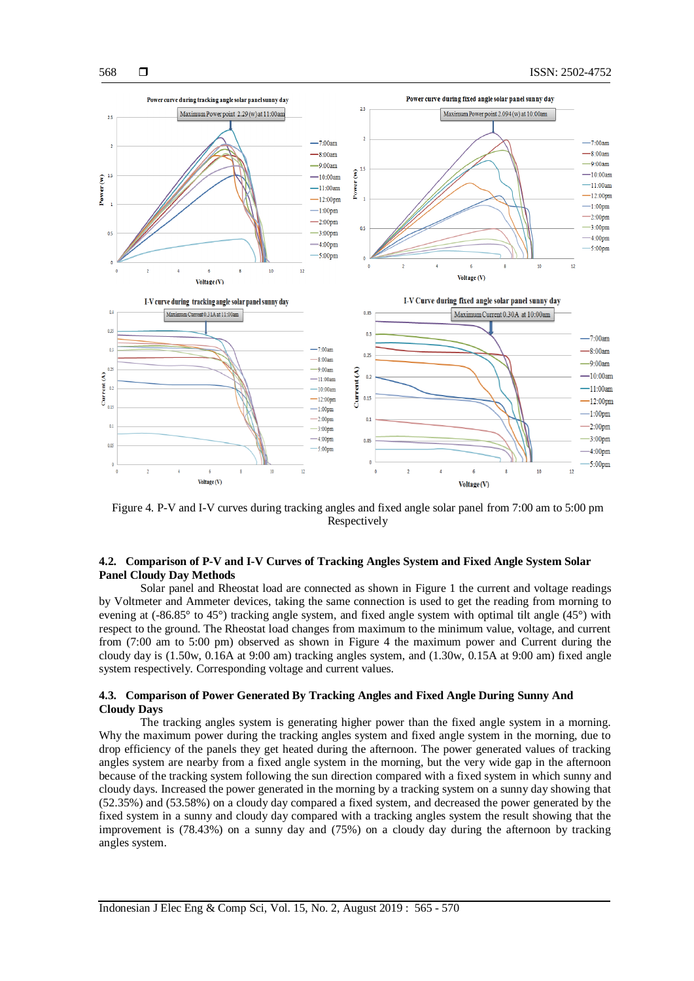

Figure 4. P-V and I-V curves during tracking angles and fixed angle solar panel from 7:00 am to 5:00 pm Respectively

# **4.2. Comparison of P-V and I-V Curves of Tracking Angles System and Fixed Angle System Solar Panel Cloudy Day Methods**

Solar panel and Rheostat load are connected as shown in Figure 1 the current and voltage readings by Voltmeter and Ammeter devices, taking the same connection is used to get the reading from morning to evening at (-86.85° to 45°) tracking angle system, and fixed angle system with optimal tilt angle (45°) with respect to the ground. The Rheostat load changes from maximum to the minimum value, voltage, and current from (7:00 am to 5:00 pm) observed as shown in Figure 4 the maximum power and Current during the cloudy day is (1.50w, 0.16A at 9:00 am) tracking angles system, and (1.30w, 0.15A at 9:00 am) fixed angle system respectively. Corresponding voltage and current values.

## **4.3. Comparison of Power Generated By Tracking Angles and Fixed Angle During Sunny And Cloudy Days**

The tracking angles system is generating higher power than the fixed angle system in a morning. Why the maximum power during the tracking angles system and fixed angle system in the morning, due to drop efficiency of the panels they get heated during the afternoon. The power generated values of tracking angles system are nearby from a fixed angle system in the morning, but the very wide gap in the afternoon because of the tracking system following the sun direction compared with a fixed system in which sunny and cloudy days. Increased the power generated in the morning by a tracking system on a sunny day showing that (52.35%) and (53.58%) on a cloudy day compared a fixed system, and decreased the power generated by the fixed system in a sunny and cloudy day compared with a tracking angles system the result showing that the improvement is (78.43%) on a sunny day and (75%) on a cloudy day during the afternoon by tracking angles system.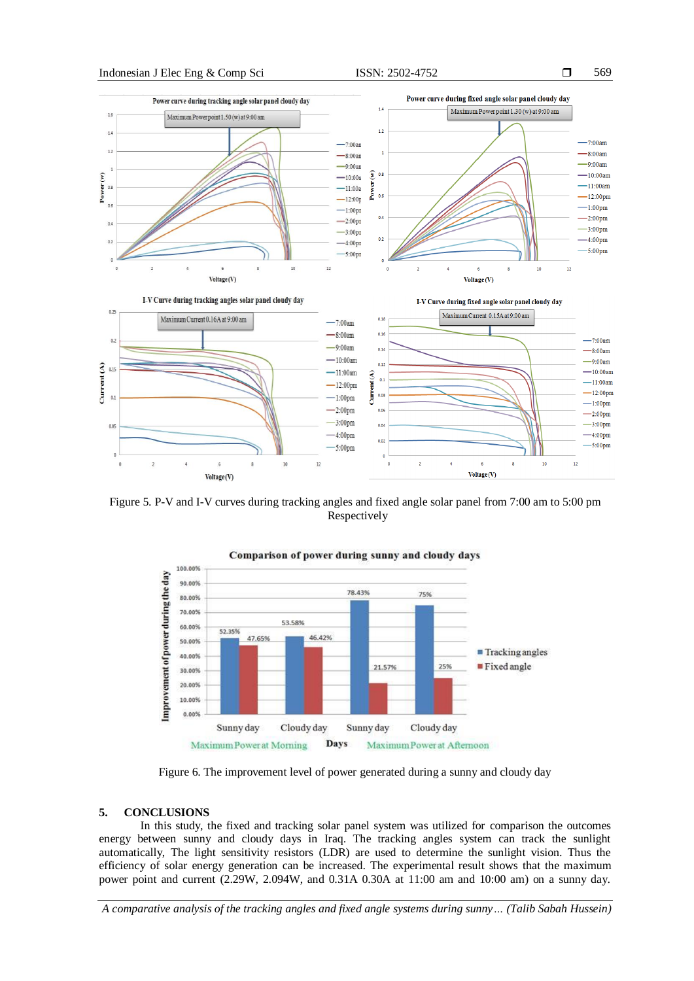



Figure 5. P-V and I-V curves during tracking angles and fixed angle solar panel from 7:00 am to 5:00 pm Respectively



Figure 6. The improvement level of power generated during a sunny and cloudy day

# **5. CONCLUSIONS**

In this study, the fixed and tracking solar panel system was utilized for comparison the outcomes energy between sunny and cloudy days in Iraq. The tracking angles system can track the sunlight automatically, The light sensitivity resistors (LDR) are used to determine the sunlight vision. Thus the efficiency of solar energy generation can be increased. The experimental result shows that the maximum power point and current (2.29W, 2.094W, and 0.31A 0.30A at 11:00 am and 10:00 am) on a sunny day.

*A comparative analysis of the tracking angles and fixed angle systems during sunny… (Talib Sabah Hussein)*